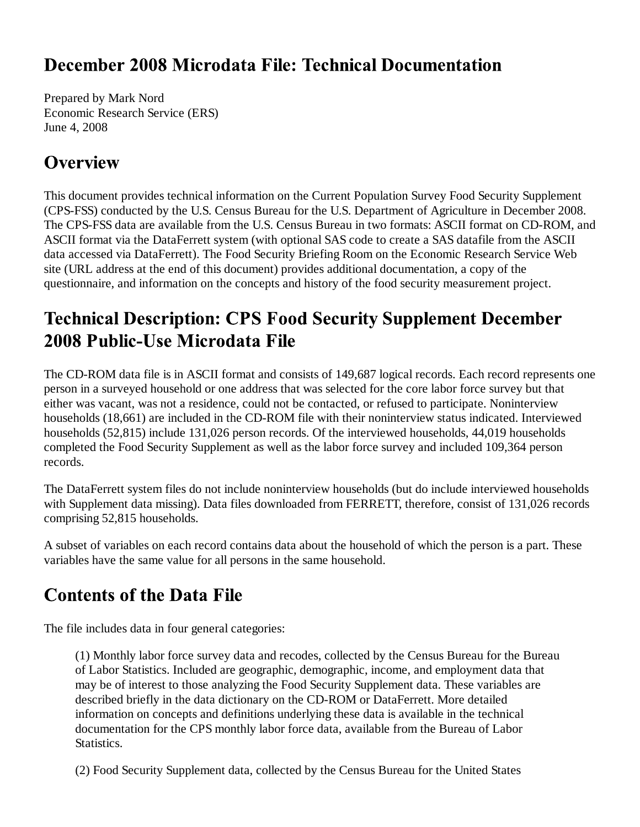## December 2008 Microdata File: Technical Documentation

Prepared by Mark Nord Economic Research Service (ERS) June 4, 2008

## **Overview**

This document provides technical information on the Current Population Survey Food Security Supplement (CPS-FSS) conducted by the U.S. Census Bureau for the U.S. Department of Agriculture in December 2008. The CPS-FSS data are available from the U.S. Census Bureau in two formats: ASCII format on CD-ROM, and ASCII format via the DataFerrett system (with optional SAS code to create a SAS datafile from the ASCII data accessed via DataFerrett). The Food Security Briefing Room on the Economic Research Service Web site (URL address at the end of this document) provides additional documentation, a copy of the questionnaire, and information on the concepts and history of the food security measurement project.

## **Technical Description: CPS Food Security Supplement December** 2008 Public-Use Microdata File

The CD-ROM data file is in ASCII format and consists of 149,687 logical records. Each record represents one person in a surveyed household or one address that was selected for the core labor force survey but that either was vacant, was not a residence, could not be contacted, or refused to participate. Noninterview households (18,661) are included in the CD-ROM file with their noninterview status indicated. Interviewed households (52,815) include 131,026 person records. Of the interviewed households, 44,019 households completed the Food Security Supplement as well as the labor force survey and included 109,364 person records.

The DataFerrett system files do not include noninterview households (but do include interviewed households with Supplement data missing). Data files downloaded from FERRETT, therefore, consist of 131,026 records comprising 52,815 households.

A subset of variables on each record contains data about the household of which the person is a part. These variables have the same value for all persons in the same household.

# **Contents of the Data File**

The file includes data in four general categories:

(1) Monthly labor force survey data and recodes, collected by the Census Bureau for the Bureau of Labor Statistics. Included are geographic, demographic, income, and employment data that may be of interest to those analyzing the Food Security Supplement data. These variables are described briefly in the data dictionary on the CD-ROM or DataFerrett. More detailed information on concepts and definitions underlying these data is available in the technical documentation for the CPS monthly labor force data, available from the Bureau of Labor **Statistics.** 

(2) Food Security Supplement data, collected by the Census Bureau for the United States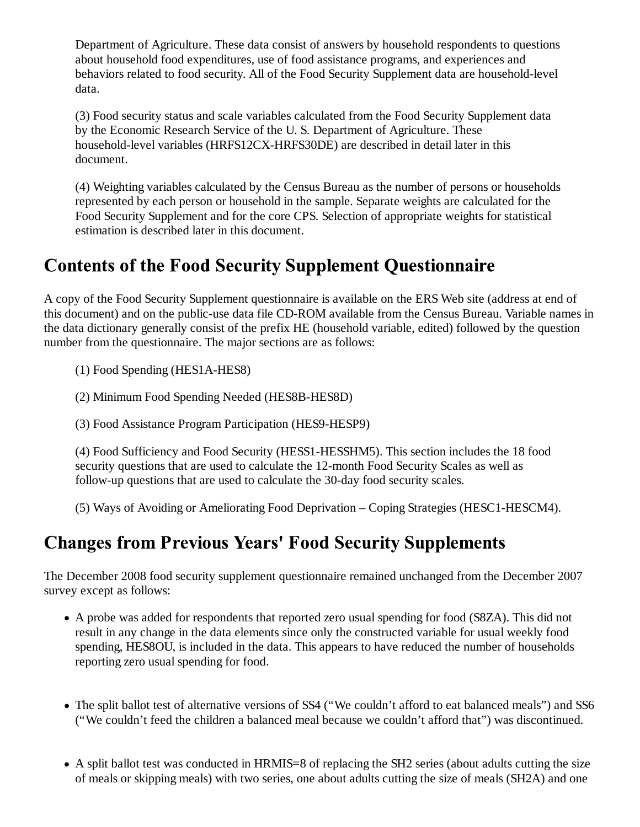Department of Agriculture. These data consist of answers by household respondents to questions about household food expenditures, use of food assistance programs, and experiences and behaviors related to food security. All of the Food Security Supplement data are household-level data.

(3) Food security status and scale variables calculated from the Food Security Supplement data by the Economic Research Service of the U. S. Department of Agriculture. These household-level variables (HRFS12CX-HRFS30DE) are described in detail later in this document.

(4) Weighting variables calculated by the Census Bureau as the number of persons or households represented by each person or household in the sample. Separate weights are calculated for the Food Security Supplement and for the core CPS. Selection of appropriate weights for statistical estimation is described later in this document.

## **Contents of the Food Security Supplement Questionnaire**

A copy of the Food Security Supplement questionnaire is available on the ERS Web site (address at end of this document) and on the public-use data file CD-ROM available from the Census Bureau. Variable names in the data dictionary generally consist of the prefix HE (household variable, edited) followed by the question number from the questionnaire. The major sections are as follows:

(1) Food Spending (HES1A-HES8)

(2) Minimum Food Spending Needed (HES8B-HES8D)

(3) Food Assistance Program Participation (HES9-HESP9)

(4) Food Sufficiency and Food Security (HESS1-HESSHM5). This section includes the 18 food security questions that are used to calculate the 12-month Food Security Scales as well as follow-up questions that are used to calculate the 30-day food security scales.

(5) Ways of Avoiding or Ameliorating Food Deprivation – Coping Strategies (HESC1-HESCM4).

## **Changes from Previous Years' Food Security Supplements**

The December 2008 food security supplement questionnaire remained unchanged from the December 2007 survey except as follows:

- A probe was added for respondents that reported zero usual spending for food (S8ZA). This did not result in any change in the data elements since only the constructed variable for usual weekly food spending, HES8OU, is included in the data. This appears to have reduced the number of households reporting zero usual spending for food.
- The split ballot test of alternative versions of SS4 ("We couldn't afford to eat balanced meals") and SS6 ("We couldn't feed the children a balanced meal because we couldn't afford that") was discontinued.
- A split ballot test was conducted in HRMIS=8 of replacing the SH2 series (about adults cutting the size of meals or skipping meals) with two series, one about adults cutting the size of meals (SH2A) and one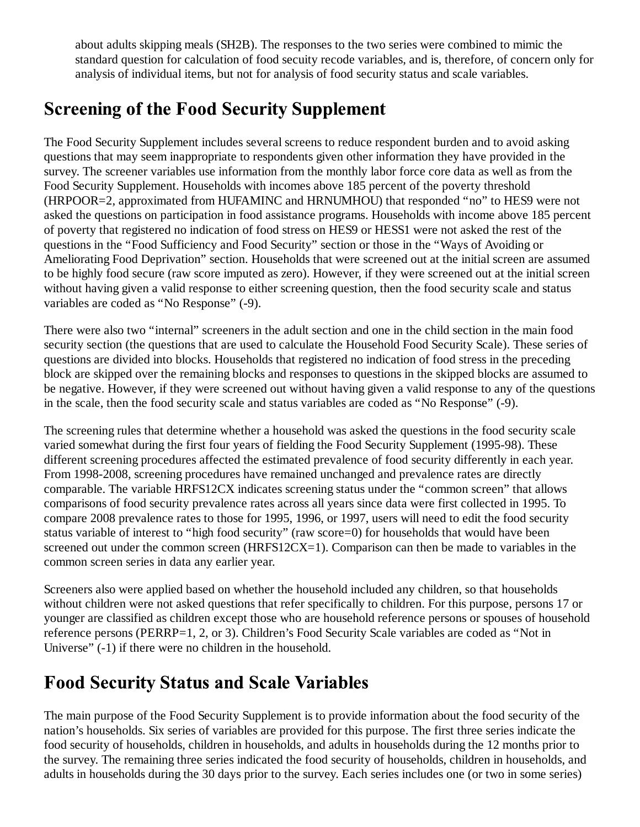about adults skipping meals (SH2B). The responses to the two series were combined to mimic the standard question for calculation of food secuity recode variables, and is, therefore, of concern only for analysis of individual items, but not for analysis of food security status and scale variables.

## **Screening of the Food Security Supplement**

The Food Security Supplement includes several screens to reduce respondent burden and to avoid asking questions that may seem inappropriate to respondents given other information they have provided in the survey. The screener variables use information from the monthly labor force core data as well as from the Food Security Supplement. Households with incomes above 185 percent of the poverty threshold (HRPOOR=2, approximated from HUFAMINC and HRNUMHOU) that responded "no" to HES9 were not asked the questions on participation in food assistance programs. Households with income above 185 percent of poverty that registered no indication of food stress on HES9 or HESS1 were not asked the rest of the questions in the "Food Sufficiency and Food Security" section or those in the "Ways of Avoiding or Ameliorating Food Deprivation" section. Households that were screened out at the initial screen are assumed to be highly food secure (raw score imputed as zero). However, if they were screened out at the initial screen without having given a valid response to either screening question, then the food security scale and status variables are coded as "No Response" (-9).

There were also two "internal" screeners in the adult section and one in the child section in the main food security section (the questions that are used to calculate the Household Food Security Scale). These series of questions are divided into blocks. Households that registered no indication of food stress in the preceding block are skipped over the remaining blocks and responses to questions in the skipped blocks are assumed to be negative. However, if they were screened out without having given a valid response to any of the questions in the scale, then the food security scale and status variables are coded as "No Response" (-9).

The screening rules that determine whether a household was asked the questions in the food security scale varied somewhat during the first four years of fielding the Food Security Supplement (1995-98). These different screening procedures affected the estimated prevalence of food security differently in each year. From 1998-2008, screening procedures have remained unchanged and prevalence rates are directly comparable. The variable HRFS12CX indicates screening status under the "common screen" that allows comparisons of food security prevalence rates across all years since data were first collected in 1995. To compare 2008 prevalence rates to those for 1995, 1996, or 1997, users will need to edit the food security status variable of interest to "high food security" (raw score=0) for households that would have been screened out under the common screen (HRFS12CX=1). Comparison can then be made to variables in the common screen series in data any earlier year.

Screeners also were applied based on whether the household included any children, so that households without children were not asked questions that refer specifically to children. For this purpose, persons 17 or younger are classified as children except those who are household reference persons or spouses of household reference persons (PERRP=1, 2, or 3). Children's Food Security Scale variables are coded as "Not in Universe" (-1) if there were no children in the household.

## **Food Security Status and Scale Variables**

The main purpose of the Food Security Supplement is to provide information about the food security of the nation's households. Six series of variables are provided for this purpose. The first three series indicate the food security of households, children in households, and adults in households during the 12 months prior to the survey. The remaining three series indicated the food security of households, children in households, and adults in households during the 30 days prior to the survey. Each series includes one (or two in some series)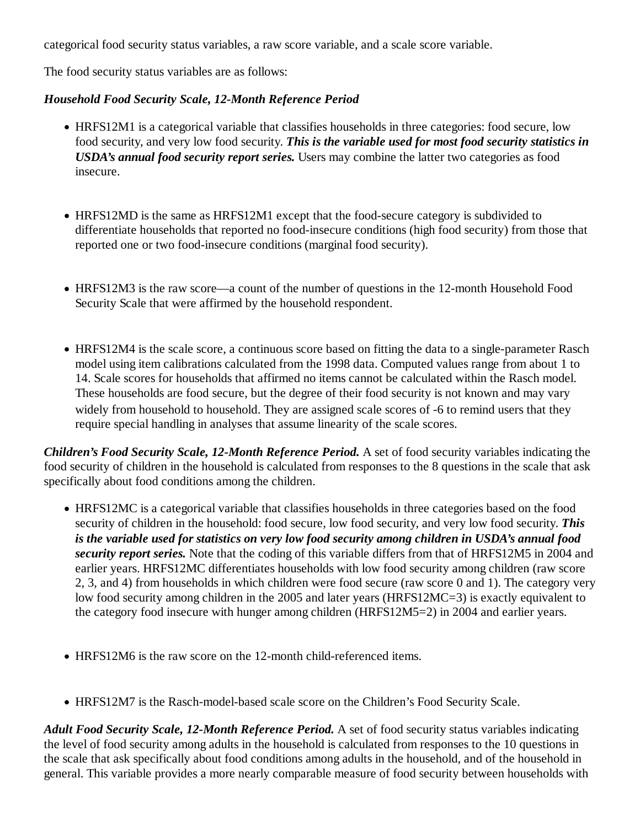categorical food security status variables, a raw score variable, and a scale score variable.

The food security status variables are as follows:

#### *Household Food Security Scale, 12-Month Reference Period*

- HRFS12M1 is a categorical variable that classifies households in three categories: food secure, low food security, and very low food security. *This is the variable used for most food security statistics in USDA's annual food security report series.* Users may combine the latter two categories as food insecure.
- HRFS12MD is the same as HRFS12M1 except that the food-secure category is subdivided to differentiate households that reported no food-insecure conditions (high food security) from those that reported one or two food-insecure conditions (marginal food security).
- HRFS12M3 is the raw score—a count of the number of questions in the 12-month Household Food Security Scale that were affirmed by the household respondent.
- HRFS12M4 is the scale score, a continuous score based on fitting the data to a single-parameter Rasch model using item calibrations calculated from the 1998 data. Computed values range from about 1 to 14. Scale scores for households that affirmed no items cannot be calculated within the Rasch model. These households are food secure, but the degree of their food security is not known and may vary widely from household to household. They are assigned scale scores of -6 to remind users that they require special handling in analyses that assume linearity of the scale scores.

*Children's Food Security Scale, 12-Month Reference Period.* A set of food security variables indicating the food security of children in the household is calculated from responses to the 8 questions in the scale that ask specifically about food conditions among the children.

- HRFS12MC is a categorical variable that classifies households in three categories based on the food security of children in the household: food secure, low food security, and very low food security. *This is the variable used for statistics on very low food security among children in USDA's annual food security report series.* Note that the coding of this variable differs from that of HRFS12M5 in 2004 and earlier years. HRFS12MC differentiates households with low food security among children (raw score 2, 3, and 4) from households in which children were food secure (raw score 0 and 1). The category very low food security among children in the 2005 and later years (HRFS12MC=3) is exactly equivalent to the category food insecure with hunger among children (HRFS12M5=2) in 2004 and earlier years.
- HRFS12M6 is the raw score on the 12-month child-referenced items.
- HRFS12M7 is the Rasch-model-based scale score on the Children's Food Security Scale.

*Adult Food Security Scale, 12-Month Reference Period.* A set of food security status variables indicating the level of food security among adults in the household is calculated from responses to the 10 questions in the scale that ask specifically about food conditions among adults in the household, and of the household in general. This variable provides a more nearly comparable measure of food security between households with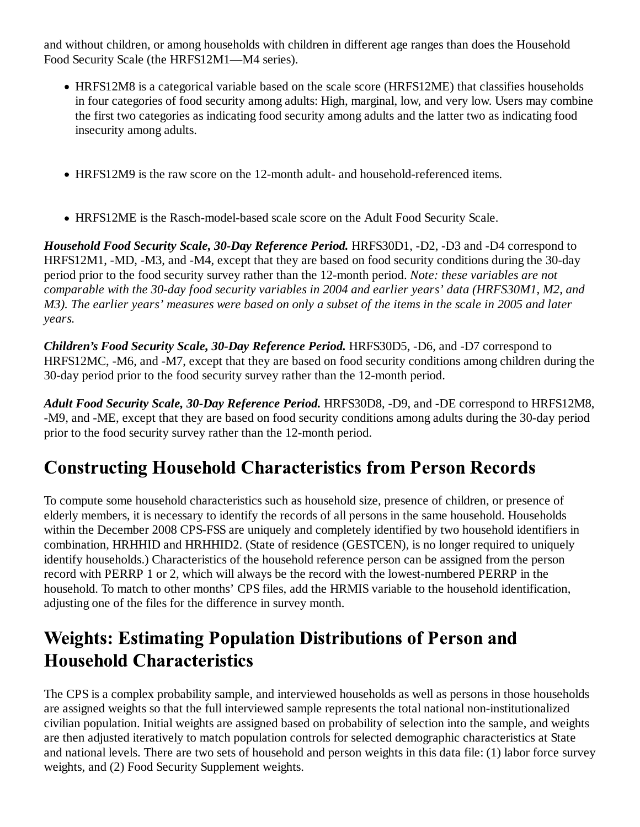and without children, or among households with children in different age ranges than does the Household Food Security Scale (the HRFS12M1—M4 series).

- HRFS12M8 is a categorical variable based on the scale score (HRFS12ME) that classifies households in four categories of food security among adults: High, marginal, low, and very low. Users may combine the first two categories as indicating food security among adults and the latter two as indicating food insecurity among adults.
- HRFS12M9 is the raw score on the 12-month adult- and household-referenced items.
- HRFS12ME is the Rasch-model-based scale score on the Adult Food Security Scale.

*Household Food Security Scale, 30-Day Reference Period.* HRFS30D1, -D2, -D3 and -D4 correspond to HRFS12M1, -MD, -M3, and -M4, except that they are based on food security conditions during the 30-day period prior to the food security survey rather than the 12-month period. *Note: these variables are not comparable with the 30-day food security variables in 2004 and earlier years' data (HRFS30M1, M2, and M3). The earlier years' measures were based on only a subset of the items in the scale in 2005 and later years.*

*Children's Food Security Scale, 30-Day Reference Period.* HRFS30D5, -D6, and -D7 correspond to HRFS12MC, -M6, and -M7, except that they are based on food security conditions among children during the 30-day period prior to the food security survey rather than the 12-month period.

*Adult Food Security Scale, 30-Day Reference Period.* HRFS30D8, -D9, and -DE correspond to HRFS12M8, -M9, and -ME, except that they are based on food security conditions among adults during the 30-day period prior to the food security survey rather than the 12-month period.

## **Constructing Household Characteristics from Person Records**

To compute some household characteristics such as household size, presence of children, or presence of elderly members, it is necessary to identify the records of all persons in the same household. Households within the December 2008 CPS-FSS are uniquely and completely identified by two household identifiers in combination, HRHHID and HRHHID2. (State of residence (GESTCEN), is no longer required to uniquely identify households.) Characteristics of the household reference person can be assigned from the person record with PERRP 1 or 2, which will always be the record with the lowest-numbered PERRP in the household. To match to other months' CPS files, add the HRMIS variable to the household identification, adjusting one of the files for the difference in survey month.

## **Weights: Estimating Population Distributions of Person and Household Characteristics**

The CPS is a complex probability sample, and interviewed households as well as persons in those households are assigned weights so that the full interviewed sample represents the total national non-institutionalized civilian population. Initial weights are assigned based on probability of selection into the sample, and weights are then adjusted iteratively to match population controls for selected demographic characteristics at State and national levels. There are two sets of household and person weights in this data file: (1) labor force survey weights, and (2) Food Security Supplement weights.